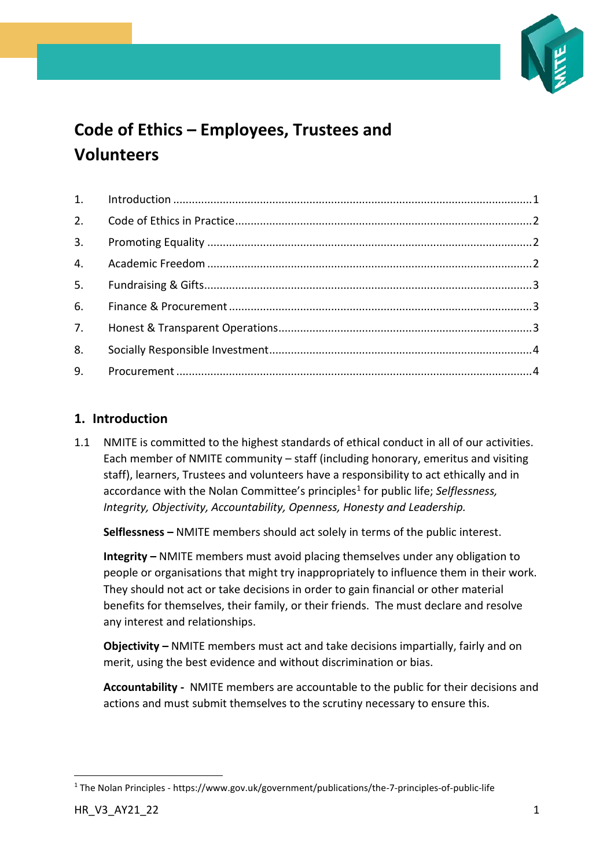

# **Code of Ethics – Employees, Trustees and Volunteers**

# <span id="page-0-0"></span>**1. Introduction**

1.1 NMITE is committed to the highest standards of ethical conduct in all of our activities. Each member of NMITE community – staff (including honorary, emeritus and visiting staff), learners, Trustees and volunteers have a responsibility to act ethically and in accordance with the Nolan Committee's principles<sup>1</sup> for public life; Selflessness, *Integrity, Objectivity, Accountability, Openness, Honesty and Leadership.*

**Selflessness –** NMITE members should act solely in terms of the public interest.

**Integrity –** NMITE members must avoid placing themselves under any obligation to people or organisations that might try inappropriately to influence them in their work. They should not act or take decisions in order to gain financial or other material benefits for themselves, their family, or their friends. The must declare and resolve any interest and relationships.

**Objectivity –** NMITE members must act and take decisions impartially, fairly and on merit, using the best evidence and without discrimination or bias.

**Accountability -** NMITE members are accountable to the public for their decisions and actions and must submit themselves to the scrutiny necessary to ensure this.

<sup>1</sup> The Nolan Principles - https://www.gov.uk/government/publications/the-7-principles-of-public-life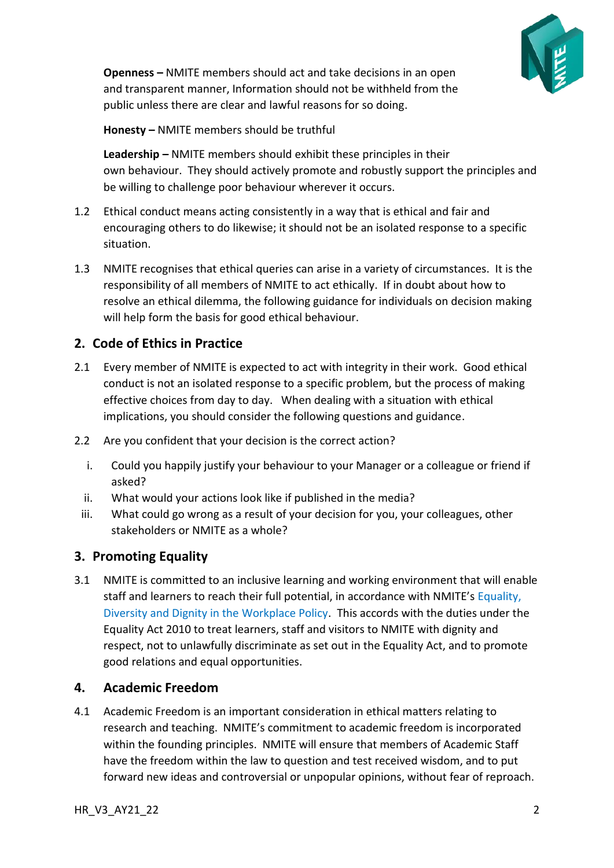

**Openness –** NMITE members should act and take decisions in an open and transparent manner, Information should not be withheld from the public unless there are clear and lawful reasons for so doing.

**Honesty –** NMITE members should be truthful

**Leadership –** NMITE members should exhibit these principles in their own behaviour. They should actively promote and robustly support the principles and be willing to challenge poor behaviour wherever it occurs.

- 1.2 Ethical conduct means acting consistently in a way that is ethical and fair and encouraging others to do likewise; it should not be an isolated response to a specific situation.
- 1.3 NMITE recognises that ethical queries can arise in a variety of circumstances. It is the responsibility of all members of NMITE to act ethically. If in doubt about how to resolve an ethical dilemma, the following guidance for individuals on decision making will help form the basis for good ethical behaviour.

# <span id="page-1-0"></span>**2. Code of Ethics in Practice**

- 2.1 Every member of NMITE is expected to act with integrity in their work. Good ethical conduct is not an isolated response to a specific problem, but the process of making effective choices from day to day. When dealing with a situation with ethical implications, you should consider the following questions and guidance.
- 2.2 Are you confident that your decision is the correct action?
	- i. Could you happily justify your behaviour to your Manager or a colleague or friend if asked?
	- ii. What would your actions look like if published in the media?
	- iii. What could go wrong as a result of your decision for you, your colleagues, other stakeholders or NMITE as a whole?

# <span id="page-1-1"></span>**3. Promoting Equality**

3.1 NMITE is committed to an inclusive learning and working environment that will enable staff and learners to reach their full potential, in accordance with NMITE's Equality, Diversity and Dignity in the Workplace Policy. This accords with the duties under the Equality Act 2010 to treat learners, staff and visitors to NMITE with dignity and respect, not to unlawfully discriminate as set out in the Equality Act, and to promote good relations and equal opportunities.

# <span id="page-1-2"></span>**4. Academic Freedom**

4.1 Academic Freedom is an important consideration in ethical matters relating to research and teaching. NMITE's commitment to academic freedom is incorporated within the founding principles. NMITE will ensure that members of Academic Staff have the freedom within the law to question and test received wisdom, and to put forward new ideas and controversial or unpopular opinions, without fear of reproach.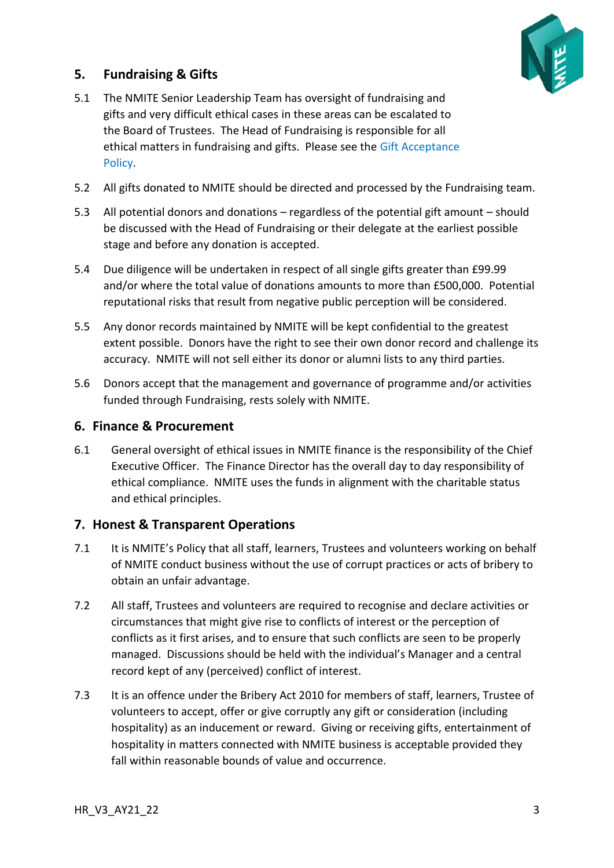

# <span id="page-2-0"></span>**5. Fundraising & Gifts**

- 5.1 The NMITE Senior Leadership Team has oversight of fundraising and gifts and very difficult ethical cases in these areas can be escalated to the Board of Trustees. The Head of Fundraising is responsible for all ethical matters in fundraising and gifts. Please see the Gift Acceptance Policy.
- 5.2 All gifts donated to NMITE should be directed and processed by the Fundraising team.
- 5.3 All potential donors and donations regardless of the potential gift amount should be discussed with the Head of Fundraising or their delegate at the earliest possible stage and before any donation is accepted.
- 5.4 Due diligence will be undertaken in respect of all single gifts greater than £99.99 and/or where the total value of donations amounts to more than £500,000. Potential reputational risks that result from negative public perception will be considered.
- 5.5 Any donor records maintained by NMITE will be kept confidential to the greatest extent possible. Donors have the right to see their own donor record and challenge its accuracy. NMITE will not sell either its donor or alumni lists to any third parties.
- 5.6 Donors accept that the management and governance of programme and/or activities funded through Fundraising, rests solely with NMITE.

### <span id="page-2-1"></span>**6. Finance & Procurement**

6.1 General oversight of ethical issues in NMITE finance is the responsibility of the Chief Executive Officer. The Finance Director has the overall day to day responsibility of ethical compliance. NMITE uses the funds in alignment with the charitable status and ethical principles.

# <span id="page-2-2"></span>**7. Honest & Transparent Operations**

- 7.1 It is NMITE's Policy that all staff, learners, Trustees and volunteers working on behalf of NMITE conduct business without the use of corrupt practices or acts of bribery to obtain an unfair advantage.
- 7.2 All staff, Trustees and volunteers are required to recognise and declare activities or circumstances that might give rise to conflicts of interest or the perception of conflicts as it first arises, and to ensure that such conflicts are seen to be properly managed. Discussions should be held with the individual's Manager and a central record kept of any (perceived) conflict of interest.
- 7.3 It is an offence under the Bribery Act 2010 for members of staff, learners, Trustee of volunteers to accept, offer or give corruptly any gift or consideration (including hospitality) as an inducement or reward. Giving or receiving gifts, entertainment of hospitality in matters connected with NMITE business is acceptable provided they fall within reasonable bounds of value and occurrence.